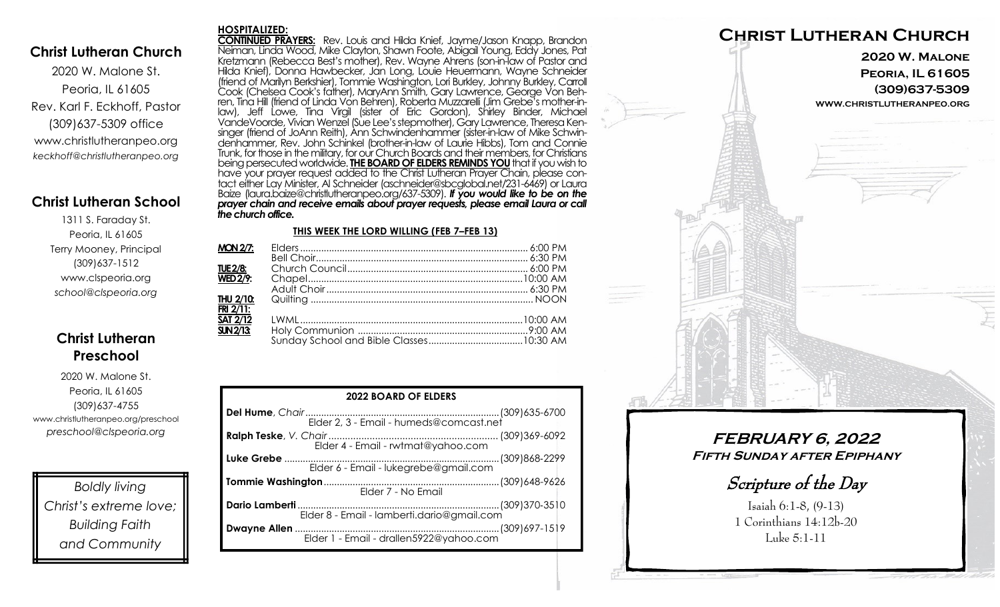### **Christ Lutheran Church**

2020 W. Malone St. Peoria, IL 61605 Rev. Karl F. Eckhoff, Pastor (309)637-5309 office www.christlutheranpeo.org *keckhoff@christlutheranpeo.org*

## **Christ Lutheran School**

1311 S. Faraday St. Peoria, IL 61605 Terry Mooney, Principal (309)637-1512 www.clspeoria.org *school@clspeoria.org*

## **Christ Lutheran Preschool**

2020 W. Malone St. Peoria, IL 61605 (309)637-4755 www.christlutheranpeo.org/preschool *preschool@clspeoria.org*

*Boldly living Christ's extreme love; Building Faith and Community*

#### **HOSPITALIZED:**

**CONTINUED PRAYERS:** Rev. Louis and Hilda Knief, Jayme/Jason Knapp, Brandon Neiman, Linda Wood, Mike Clayton, Shawn Foote, Abigail Young, Eddy Jones, Pat Kretzmann (Rebecca Best's mother), Rev. Wayne Ahrens (son-in-law of Pastor and Hilda Knief), Donna Hawbecker, Jan Long, Louie Heuermann, Wayne Schneider (friend of Marilyn Berkshier), Tommie Washington, Lori Burkley, Johnny Burkley, Carroll Cook (Chelsea Cook's father), MaryAnn Smith, Gary Lawrence, George Von Behren, Tina Hill (friend of Linda Von Behren), Roberta Muzzarelli (Jim Grebe's mother-inlaw), Jeff Lowe, Tina Virgil (sister of Eric Gordon), Shirley Binder, Michael VandeVoorde, Vivian Wenzel (Sue Lee's stepmother), Gary Lawrence, Theresa Kensinger (friend of JoAnn Reith), Ann Schwindenhammer (sister-in-law of Mike Schwindenhammer, Rev. John Schinkel (brother-in-law of Laurie Hibbs), Tom and Connie Trunk, for those in the military, for our Church Boards and their members, for Christians being persecuted worldwide. **THE BOARD OF ELDERS REMINDS YOU**that if you wish to have your prayer request added to the Christ Lutheran Prayer Chain, please contact either Lay Minister, Al Schneider (aschneider@sbcglobal.net/231-6469) or Laura Baize (laura.baize@christlutheranpeo.org/637-5309). *If you would like to be on the prayer chain and receive emails about prayer requests, please email Laura or call the church office.*

#### **THIS WEEK THE LORD WILLING (FEB 7–FEB 13)**

| $MON 2/7$ :     |  |
|-----------------|--|
|                 |  |
| <b>TUE 2/8:</b> |  |
| <b>WED 2/9:</b> |  |
|                 |  |
| THU 2/10:       |  |
| $FRI$ 2/11:     |  |
| <b>SAT 2/12</b> |  |
| SUN2/13         |  |
|                 |  |

| <b>2022 BOARD OF ELDERS</b>             |  |  |  |
|-----------------------------------------|--|--|--|
|                                         |  |  |  |
| Elder 4 - Email - rwtmat@yahoo.com      |  |  |  |
| Elder 6 - Email - lukegrebe@gmail.com   |  |  |  |
| Elder 7 - No Email                      |  |  |  |
|                                         |  |  |  |
| Elder 1 - Email - drallen5922@yahoo.com |  |  |  |



**FEBRUARY 6, 2022 Fifth Sunday after Epiphany** 

Scripture of the Day

Isaiah 6:1-8, (9-13) 1 Corinthians 14:12b-20 Luke 5:1-11